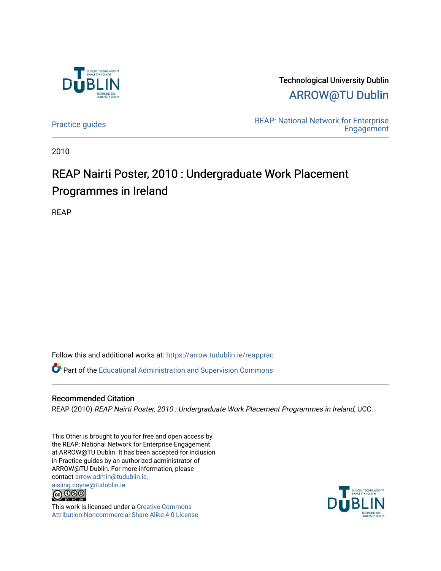

Technological University Dublin [ARROW@TU Dublin](https://arrow.tudublin.ie/) 

[Practice guides](https://arrow.tudublin.ie/reapprac) **Practice guides** REAP: National Network for Enterprise **Engagement** 

2010

## REAP Nairti Poster, 2010 : Undergraduate Work Placement Programmes in Ireland

REAP

Follow this and additional works at: [https://arrow.tudublin.ie/reapprac](https://arrow.tudublin.ie/reapprac?utm_source=arrow.tudublin.ie%2Freapprac%2F3&utm_medium=PDF&utm_campaign=PDFCoverPages)

 $\bullet$  Part of the [Educational Administration and Supervision Commons](http://network.bepress.com/hgg/discipline/787?utm_source=arrow.tudublin.ie%2Freapprac%2F3&utm_medium=PDF&utm_campaign=PDFCoverPages)

## Recommended Citation

REAP (2010) REAP Nairti Poster, 2010 : Undergraduate Work Placement Programmes in Ireland, UCC.

This Other is brought to you for free and open access by the REAP: National Network for Enterprise Engagement at ARROW@TU Dublin. It has been accepted for inclusion in Practice guides by an authorized administrator of ARROW@TU Dublin. For more information, please contact [arrow.admin@tudublin.ie,](mailto:arrow.admin@tudublin.ie,%20aisling.coyne@tudublin.ie)  [aisling.coyne@tudublin.ie.](mailto:arrow.admin@tudublin.ie,%20aisling.coyne@tudublin.ie)<br>© 090



This work is licensed under a [Creative Commons](http://creativecommons.org/licenses/by-nc-sa/4.0/) [Attribution-Noncommercial-Share Alike 4.0 License](http://creativecommons.org/licenses/by-nc-sa/4.0/)